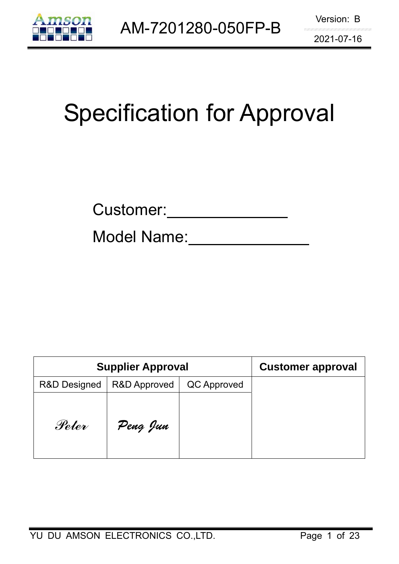

# Specification for Approval

Model Name:

| <b>Supplier Approval</b> |                         | <b>Customer approval</b> |  |
|--------------------------|-------------------------|--------------------------|--|
| <b>R&amp;D Designed</b>  | <b>R&amp;D Approved</b> | QC Approved              |  |
| Peter                    | Peng Jun                |                          |  |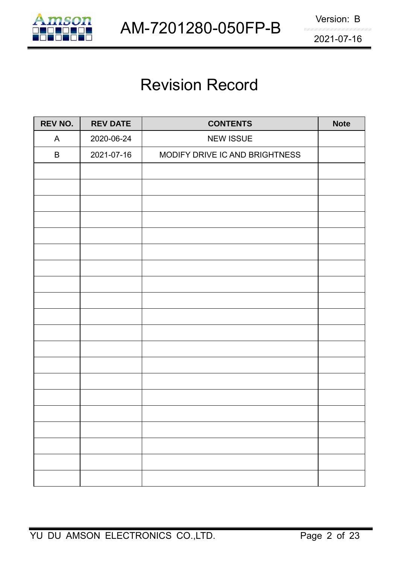

# Revision Record

| REV NO.      | <b>REV DATE</b> | <b>CONTENTS</b>                | <b>Note</b> |
|--------------|-----------------|--------------------------------|-------------|
| $\mathsf{A}$ | 2020-06-24      | <b>NEW ISSUE</b>               |             |
| B            | 2021-07-16      | MODIFY DRIVE IC AND BRIGHTNESS |             |
|              |                 |                                |             |
|              |                 |                                |             |
|              |                 |                                |             |
|              |                 |                                |             |
|              |                 |                                |             |
|              |                 |                                |             |
|              |                 |                                |             |
|              |                 |                                |             |
|              |                 |                                |             |
|              |                 |                                |             |
|              |                 |                                |             |
|              |                 |                                |             |
|              |                 |                                |             |
|              |                 |                                |             |
|              |                 |                                |             |
|              |                 |                                |             |
|              |                 |                                |             |
|              |                 |                                |             |
|              |                 |                                |             |
|              |                 |                                |             |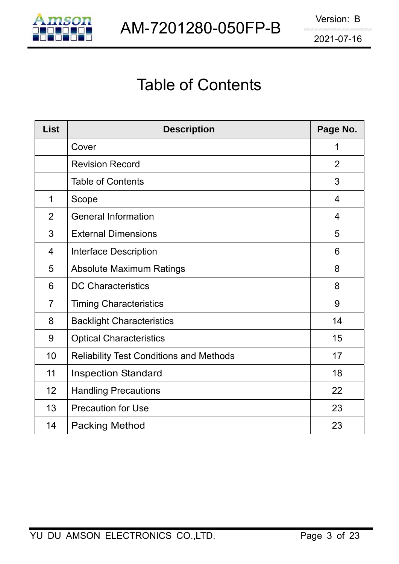

# Table of Contents

| <b>List</b>    | <b>Description</b>                             | Page No.       |
|----------------|------------------------------------------------|----------------|
|                | Cover                                          | 1              |
|                | <b>Revision Record</b>                         | $\overline{2}$ |
|                | <b>Table of Contents</b>                       | 3              |
| 1              | Scope                                          | $\overline{4}$ |
| $\overline{2}$ | <b>General Information</b>                     | $\overline{4}$ |
| 3              | <b>External Dimensions</b>                     | 5              |
| $\overline{4}$ | Interface Description                          | 6              |
| 5              | <b>Absolute Maximum Ratings</b>                | 8              |
| 6              | <b>DC Characteristics</b>                      | 8              |
| $\overline{7}$ | <b>Timing Characteristics</b>                  | 9              |
| 8              | <b>Backlight Characteristics</b>               | 14             |
| 9              | <b>Optical Characteristics</b>                 | 15             |
| 10             | <b>Reliability Test Conditions and Methods</b> | 17             |
| 11             | <b>Inspection Standard</b>                     | 18             |
| 12             | <b>Handling Precautions</b>                    | 22             |
| 13             | <b>Precaution for Use</b>                      | 23             |
| 14             | <b>Packing Method</b>                          | 23             |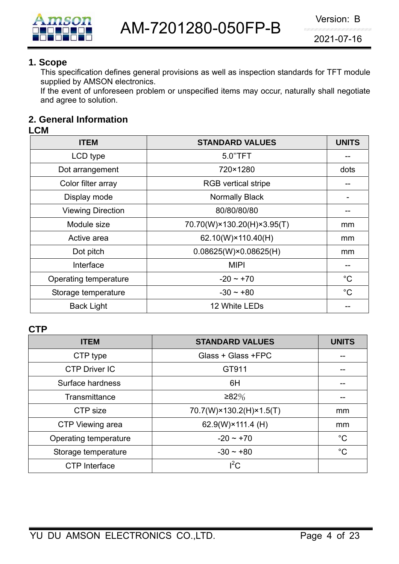

#### **1. Scope**

This specification defines general provisions as well as inspection standards for TFT module supplied by AMSON electronics.

If the event of unforeseen problem or unspecified items may occur, naturally shall negotiate and agree to solution.

# **2. General Information**

#### **LCM**

| <b>ITEM</b>              | <b>STANDARD VALUES</b>         | <b>UNITS</b> |
|--------------------------|--------------------------------|--------------|
| LCD type                 | 5.0"TFT                        |              |
| Dot arrangement          | 720×1280                       | dots         |
| Color filter array       | <b>RGB</b> vertical stripe     |              |
| Display mode             | <b>Normally Black</b>          |              |
| <b>Viewing Direction</b> | 80/80/80/80                    |              |
| Module size              | 70.70(W)×130.20(H)×3.95(T)     | mm           |
| Active area              | 62.10(W)×110.40(H)             | mm           |
| Dot pitch                | $0.08625(W) \times 0.08625(H)$ | mm           |
| Interface                | <b>MIPI</b>                    |              |
| Operating temperature    | $-20 \sim +70$                 | $^{\circ}C$  |
| Storage temperature      | $-30 \sim +80$                 | $^{\circ}C$  |
| <b>Back Light</b>        | 12 White LEDs                  |              |

#### **CTP**

| <b>ITEM</b>           | <b>STANDARD VALUES</b>  | <b>UNITS</b> |
|-----------------------|-------------------------|--------------|
| CTP type              | Glass + Glass +FPC      |              |
| <b>CTP Driver IC</b>  | GT911                   |              |
| Surface hardness      | 6H                      |              |
| Transmittance         | ≥82%                    |              |
| CTP size              | 70.7(W)×130.2(H)×1.5(T) | mm           |
| CTP Viewing area      | 62.9(W)×111.4 (H)       | mm           |
| Operating temperature | $-20 - +70$             | $^{\circ}C$  |
| Storage temperature   | $-30 \sim +80$          | $^{\circ}C$  |
| <b>CTP</b> Interface  | $I^2C$                  |              |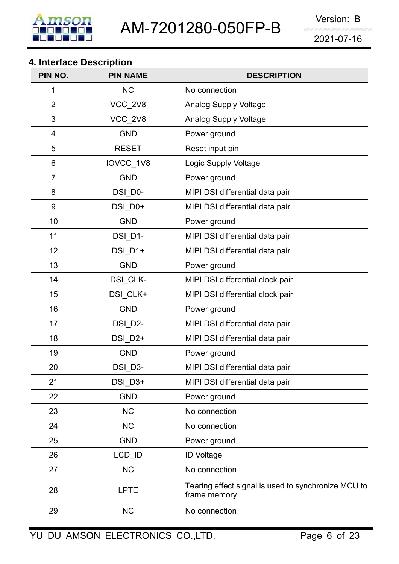

# **4. Interface Description**

| PIN NO.        | <b>PIN NAME</b> | <b>DESCRIPTION</b>                                                  |
|----------------|-----------------|---------------------------------------------------------------------|
| 1              | <b>NC</b>       | No connection                                                       |
| $\overline{2}$ | VCC_2V8         | <b>Analog Supply Voltage</b>                                        |
| 3              | VCC_2V8         | <b>Analog Supply Voltage</b>                                        |
| 4              | <b>GND</b>      | Power ground                                                        |
| 5              | <b>RESET</b>    | Reset input pin                                                     |
| 6              | IOVCC_1V8       | Logic Supply Voltage                                                |
| $\overline{7}$ | <b>GND</b>      | Power ground                                                        |
| 8              | DSI D0-         | MIPI DSI differential data pair                                     |
| 9              | DSI D0+         | MIPI DSI differential data pair                                     |
| 10             | <b>GND</b>      | Power ground                                                        |
| 11             | DSI_D1-         | MIPI DSI differential data pair                                     |
| 12             | DSI_D1+         | MIPI DSI differential data pair                                     |
| 13             | <b>GND</b>      | Power ground                                                        |
| 14             | DSI_CLK-        | MIPI DSI differential clock pair                                    |
| 15             | DSI_CLK+        | MIPI DSI differential clock pair                                    |
| 16             | <b>GND</b>      | Power ground                                                        |
| 17             | DSI D2-         | MIPI DSI differential data pair                                     |
| 18             | DSI_D2+         | MIPI DSI differential data pair                                     |
| 19             | <b>GND</b>      | Power ground                                                        |
| 20             | DSI_D3-         | MIPI DSI differential data pair                                     |
| 21             | DSI_D3+         | MIPI DSI differential data pair                                     |
| 22             | <b>GND</b>      | Power ground                                                        |
| 23             | <b>NC</b>       | No connection                                                       |
| 24             | <b>NC</b>       | No connection                                                       |
| 25             | <b>GND</b>      | Power ground                                                        |
| 26             | LCD_ID          | <b>ID Voltage</b>                                                   |
| 27             | <b>NC</b>       | No connection                                                       |
| 28             | <b>LPTE</b>     | Tearing effect signal is used to synchronize MCU to<br>frame memory |
| 29             | <b>NC</b>       | No connection                                                       |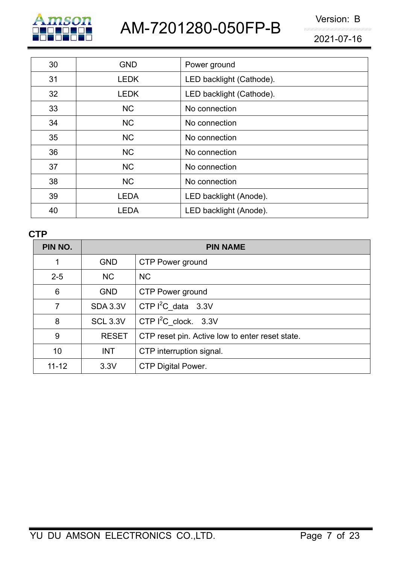

AM-7201280-050FP-B Version: B

2021-07-16

| 30 | <b>GND</b>  | Power ground             |
|----|-------------|--------------------------|
| 31 | <b>LEDK</b> | LED backlight (Cathode). |
| 32 | <b>LEDK</b> | LED backlight (Cathode). |
| 33 | <b>NC</b>   | No connection            |
| 34 | <b>NC</b>   | No connection            |
| 35 | <b>NC</b>   | No connection            |
| 36 | <b>NC</b>   | No connection            |
| 37 | <b>NC</b>   | No connection            |
| 38 | <b>NC</b>   | No connection            |
| 39 | <b>LEDA</b> | LED backlight (Anode).   |
| 40 | <b>LEDA</b> | LED backlight (Anode).   |

# **CTP**

| PIN NO.   |                 | <b>PIN NAME</b>                                 |
|-----------|-----------------|-------------------------------------------------|
|           | <b>GND</b>      | CTP Power ground                                |
| $2 - 5$   | <b>NC</b>       | <b>NC</b>                                       |
| 6         | <b>GND</b>      | CTP Power ground                                |
|           | <b>SDA 3.3V</b> | CTP $I^2C_d$ data 3.3V                          |
| 8         | <b>SCL 3.3V</b> | CTP $I^2C$ clock. 3.3V                          |
| 9         | <b>RESET</b>    | CTP reset pin. Active low to enter reset state. |
| 10        | <b>INT</b>      | CTP interruption signal.                        |
| $11 - 12$ | 3.3V            | <b>CTP Digital Power.</b>                       |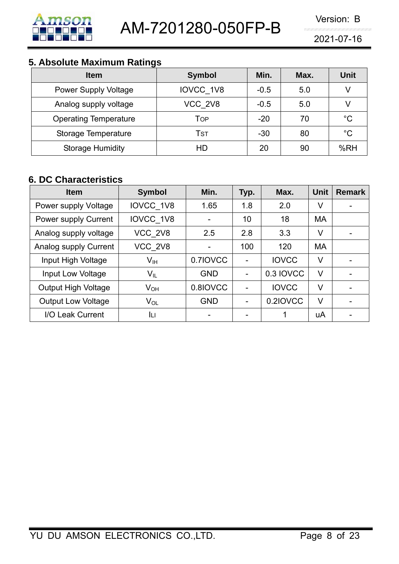

# **5. Absolute Maximum Ratings**

| <b>Item</b>                  | <b>Symbol</b> | Min.   | Max. | <b>Unit</b> |
|------------------------------|---------------|--------|------|-------------|
| <b>Power Supply Voltage</b>  | IOVCC 1V8     | $-0.5$ | 5.0  | V           |
| Analog supply voltage        | VCC 2V8       | $-0.5$ | 5.0  |             |
| <b>Operating Temperature</b> | Top           | $-20$  | 70   | $^{\circ}C$ |
| Storage Temperature          | Tst           | $-30$  | 80   | $^{\circ}C$ |
| <b>Storage Humidity</b>      | HD            | 20     | 90   | %RH         |

# **6. DC Characteristics**

| <b>Item</b>                | <b>Symbol</b>   | Min.                     | Typ. | Max.         | <b>Unit</b> | <b>Remark</b>            |
|----------------------------|-----------------|--------------------------|------|--------------|-------------|--------------------------|
| Power supply Voltage       | IOVCC 1V8       | 1.65                     | 1.8  | 2.0          | V           |                          |
| Power supply Current       | IOVCC 1V8       |                          | 10   | 18           | <b>MA</b>   |                          |
| Analog supply voltage      | VCC 2V8         | 2.5                      | 2.8  | 3.3          | V           |                          |
| Analog supply Current      | VCC 2V8         | $\overline{\phantom{0}}$ | 100  | 120          | MA          |                          |
| Input High Voltage         | V <sub>IH</sub> | 0.7IOVCC                 |      | <b>IOVCC</b> | V           |                          |
| Input Low Voltage          | $V_{IL}$        | <b>GND</b>               |      | 0.3 IOVCC    | V           | $\overline{\phantom{0}}$ |
| <b>Output High Voltage</b> | $V_{OH}$        | 0.8IOVCC                 |      | <b>IOVCC</b> | V           | $\overline{\phantom{0}}$ |
| <b>Output Low Voltage</b>  | $V_{OL}$        | <b>GND</b>               |      | 0.2IOVCC     | V           |                          |
| I/O Leak Current           | Iц              |                          |      | 1            | uA          | $\overline{\phantom{0}}$ |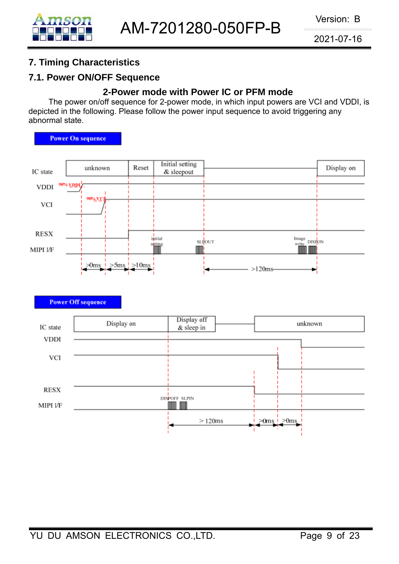# **7. Timing Characteristics**

# **7.1. Power ON/OFF Sequence**

### **2-Power mode with Power IC or PFM mode**

The power on/off sequence for 2-power mode, in which input powers are VCI and VDDI, is depicted in the following. Please follow the power input sequence to avoid triggering any abnormal state.

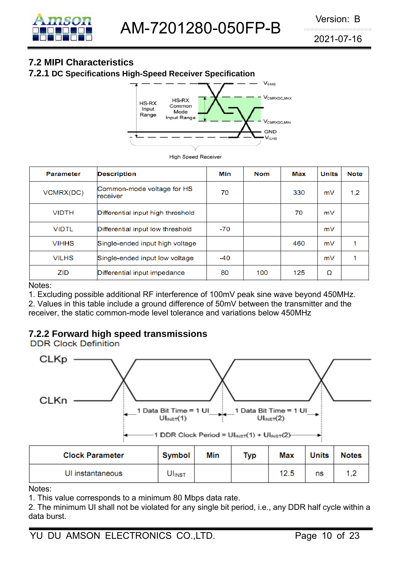

# **7.2 MIPI Characteristics**

**7.2.1 DC Specifications High-Speed Receiver Specification**



**High Speed Receiver** 

| <b>Parameter</b> | <b>Description</b>                     | Min   | <b>Nom</b> | Max | <b>Units</b> | <b>Note</b> |
|------------------|----------------------------------------|-------|------------|-----|--------------|-------------|
| VCMRX(DC)        | Common-mode voltage for HS<br>receiver | 70    |            | 330 | mV           | 1,2         |
| <b>VIDTH</b>     | Differential input high threshold      |       |            | 70  | mV           |             |
| <b>VIDTL</b>     | Differential input low threshold       | $-70$ |            |     | mV           |             |
| <b>VIHHS</b>     | Single-ended input high voltage        |       |            | 460 | mV           |             |
| <b>VILHS</b>     | Single-ended input low voltage         | $-40$ |            |     | mV           |             |
| ZID              | Differential input impedance           | 80    | 100        | 125 | Ω            |             |

#### Notes:

1. Excluding possible additional RF interference of 100mV peak sine wave beyond 450MHz. 2. Values in this table include a ground difference of 50mV between the transmitter and the receiver, the static common-mode level tolerance and variations below 450MHz

# **7.2.2 Forward high speed transmissions**



 $UI<sub>INST</sub>(1)$ 



 $UI<sub>INST</sub>(2)$ 

| <b>Clock Parameter</b> | <b>Symbol</b>      | Min | Typ | <b>Max</b> | <b>Units</b> | <b>Notes</b>   |
|------------------------|--------------------|-----|-----|------------|--------------|----------------|
| UI instantaneous       | UI <sub>INST</sub> |     |     | 12.5       | ns           | $\overline{a}$ |

Notes:

1. This value corresponds to a minimum 80 Mbps data rate.

2. The minimum UI shall not be violated for any single bit period, i.e., any DDR half cycle within a data burst.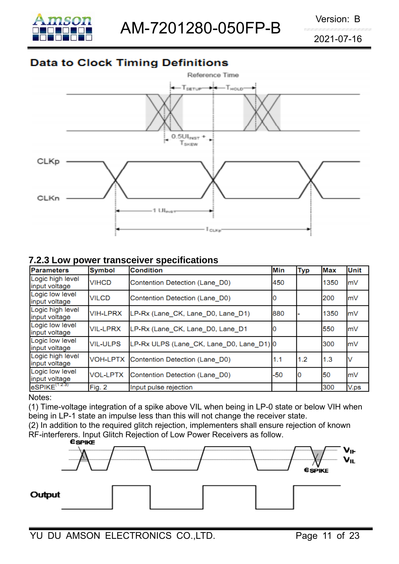

AM-7201280-050FP-B Version: B

2021-07-16

# **Data to Clock Timing Definitions**



#### **7.2.3 Low power transceiver specifications**

| <b>Parameters</b>                        | <b>Symbol</b>   | <b>Condition</b>                         | <b>Min</b> | <b>Typ</b> | <b>Max</b> | <b>Unit</b> |
|------------------------------------------|-----------------|------------------------------------------|------------|------------|------------|-------------|
| Logic high level<br>input voltage        | <b>VIHCD</b>    | Contention Detection (Lane D0)           | 450        |            | 1350       | mV          |
| Logic low level<br>input voltage         | <b>VILCD</b>    | Contention Detection (Lane D0)           |            |            | 200        | mV          |
| Logic high level<br>input voltage        | <b>VIH-LPRX</b> | LP-Rx (Lane CK, Lane D0, Lane D1)        | 880        |            | 1350       | m∨          |
| Logic low level<br>input voltage         | <b>VIL-LPRX</b> | LP-Rx (Lane_CK, Lane_D0, Lane_D1         |            |            | 550        | mV          |
| Logic low level<br>input voltage         | <b>VIL-ULPS</b> | LP-Rx ULPS (Lane CK, Lane D0, Lane D1) 0 |            |            | 300        | mV          |
| Logic high level<br>input voltage        | <b>VOH-LPTX</b> | Contention Detection (Lane D0)           | 1.1        | 1.2        | 1.3        |             |
| Logic low level<br>input voltage         | <b>VOL-LPTX</b> | Contention Detection (Lane_D0)           | $-50$      |            | 50         | lm∨         |
| $eSPIKE$ <sup><math>(1.2.3)</math></sup> | Fig. 2          | Input pulse rejection                    |            |            | 300        | V.ps        |

#### Notes:

(1) Time-voltage integration of a spike above VIL when being in LP-0 state or below VIH when being in LP-1 state an impulse less than this will not change the receiver state.

(2) In addition to the required glitch rejection, implementers shall ensure rejection of known RF-interferers. Input Glitch Rejection of Low Power Receivers as follow.<br> **ESPIKE** 

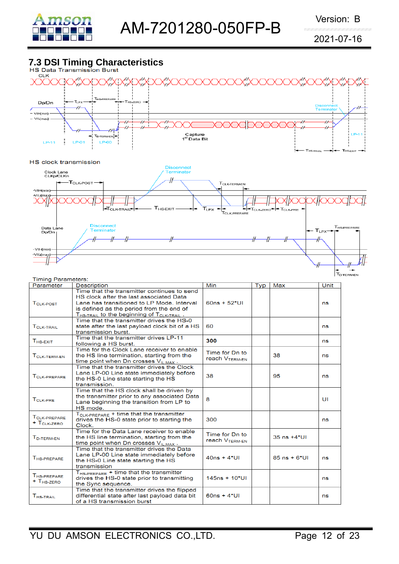

SEXIT

# **7.3 DSI Timing Characteristics**



#### HS clock transmission



| <b>Timing Parameters:</b>                           |                                                                                                                                                                                                                                          |                                              |     |                   | <b>T</b> <sub>D-TERM-EN</sub> |
|-----------------------------------------------------|------------------------------------------------------------------------------------------------------------------------------------------------------------------------------------------------------------------------------------------|----------------------------------------------|-----|-------------------|-------------------------------|
| Parameter                                           | <b>Description</b>                                                                                                                                                                                                                       | Min                                          | Typ | Max               | Unit                          |
| T <sub>CLK-POST</sub>                               | Time that the transmitter continues to send<br>HS clock after the last associated Data<br>Lane has transitioned to LP Mode, Interval<br>is defined as the period from the end of<br>$T_{HS-TRAIL}$ to the beginning of $T_{CLK-TRAIL}$ . | $60ns + 52*U1$                               |     |                   | ns                            |
| TOLK-TRAIL                                          | Time that the transmitter drives the HS-0<br>state after the last payload clock bit of a HS<br>transmission burst.                                                                                                                       | 60                                           |     |                   | ns                            |
| $THS-EXIT$                                          | Time that the transmitter drives LP-11<br>following a HS burst.                                                                                                                                                                          | 300                                          |     |                   | ns                            |
| TCLK-TERM-EN                                        | Time for the Clock Lane receiver to enable<br>the HS line termination, starting from the<br>time point when Dn crosses $V_{IL,MAX}$ .                                                                                                    | Time for Dn to<br><b>reach VTERM-FN</b>      |     | 38                | ns                            |
| TCLK-PREPARE                                        | Time that the transmitter drives the Clock<br>Lane LP-00 Line state immediately before<br>the HS-0 Line state starting the HS<br>transmission.                                                                                           | 38                                           |     | 95                | ns                            |
| TCLK-PRE                                            | Time that the HS clock shall be driven by<br>the transmitter prior to any associated Data<br>Lane beginning the transition from LP to<br>HS mode.                                                                                        | 8                                            |     |                   | UI                            |
| TCLK-PREPARE<br>$+$ T <sub>CLK-ZERO</sub>           | $T_{CLK-PREPARE}$ + time that the transmitter<br>drives the HS-0 state prior to starting the<br>Clock.                                                                                                                                   | 300                                          |     |                   | ns                            |
| T <sub>D-TERM-EN</sub>                              | Time for the Data Lane receiver to enable<br>the HS line termination, starting from the<br>time point when Dn crosses $V_{II,MAX}$ .                                                                                                     | Time for Dn to<br>reach V <sub>TERM-EN</sub> |     | $35$ ns $+4*$ UI  |                               |
| T <sub>HS-PREPARE</sub>                             | Time that the transmitter drives the Data<br>Lane LP-00 Line state immediately before<br>the HS-0 Line state starting the HS<br>transmission                                                                                             | $40ns + 4*Ul$                                |     | $85$ ns + $6*$ UI | ns                            |
| T <sub>HS-PREPARE</sub><br>$+$ T <sub>HS-ZERO</sub> | $T_{HS-PREPARE}$ + time that the transmitter<br>drives the HS-0 state prior to transmitting<br>the Sync sequence.                                                                                                                        | $145ns + 10*UI$                              |     |                   | ns                            |
| $T_{HS,TRAll}$                                      | Time that the transmitter drives the flipped<br>differential state after last payload data bit<br>of a HS transmission burst                                                                                                             | $60ns + 4*U1$                                |     |                   | ns                            |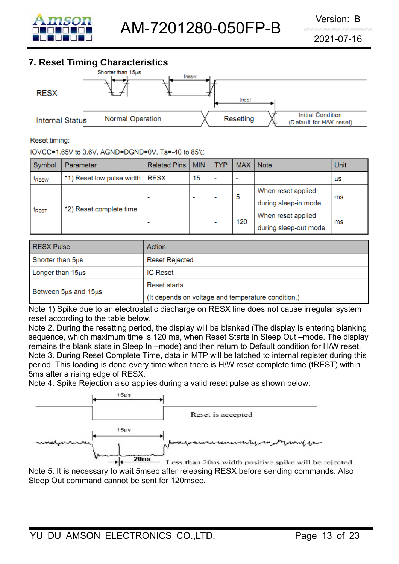

# **7. Reset Timing Characteristics**



Reset timing:

IOVCC=1.65V to 3.6V, AGND=DGND=0V, Ta=-40 to 85°C

| Symbol       | Parameter                        | <b>Related Pins</b> | <b>MIN</b> | <b>TYP</b> | <b>MAX</b>               | <b>Note</b>                                 | Unit |
|--------------|----------------------------------|---------------------|------------|------------|--------------------------|---------------------------------------------|------|
| <b>IRESW</b> | *1) Reset low pulse width   RESX |                     | 15         |            | $\overline{\phantom{a}}$ |                                             | ЦS   |
| <b>IREST</b> | *2) Reset complete time          | $\blacksquare$      | ۰          |            | 5                        | When reset applied<br>during sleep-in mode  | ms   |
|              |                                  | $\blacksquare$      |            |            | 120                      | When reset applied<br>during sleep-out mode | ms   |

| <b>RESX Pulse</b>     | Action                                             |
|-----------------------|----------------------------------------------------|
| Shorter than 5us      | <b>Reset Rejected</b>                              |
| Longer than $15\mu s$ | <b>IC Reset</b>                                    |
|                       | Reset starts                                       |
| Between 5us and 15us  | (It depends on voltage and temperature condition.) |

Note 1) Spike due to an electrostatic discharge on RESX line does not cause irregular system reset according to the table below.

Note 2. During the resetting period, the display will be blanked (The display is entering blanking sequence, which maximum time is 120 ms, when Reset Starts in Sleep Out –mode. The display remains the blank state in Sleep In –mode) and then return to Default condition for H/W reset. Note 3. During Reset Complete Time, data in MTP will be latched to internal register during this period. This loading is done every time when there is H/W reset complete time (tREST) within 5ms after a rising edge of RESX.

Note 4. Spike Rejection also applies during a valid reset pulse as shown below:



Note 5. It is necessary to wait 5msec after releasing RESX before sending commands. Also Sleep Out command cannot be sent for 120msec.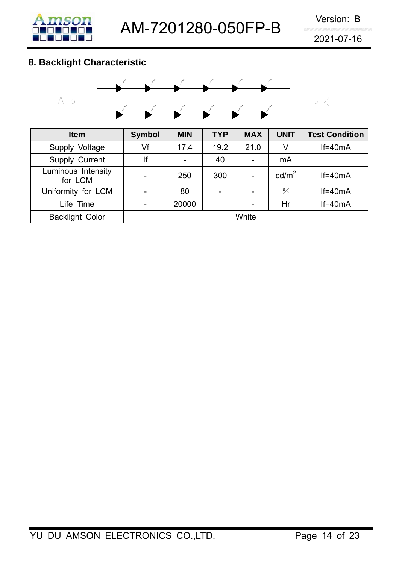# **8. Backlight Characteristic**

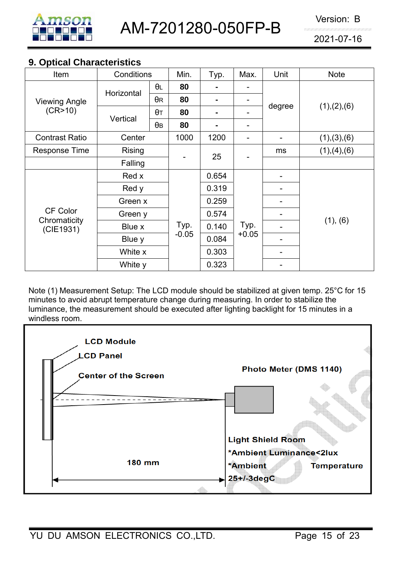

### **9. Optical Characteristics**

| Item                      | Conditions                           |            | Min.    | Typ.  | Max.    | Unit   | <b>Note</b>   |  |
|---------------------------|--------------------------------------|------------|---------|-------|---------|--------|---------------|--|
| <b>Viewing Angle</b>      | Horizontal                           | θL         | 80      | -     |         |        |               |  |
|                           |                                      | $\theta$ R | 80      |       |         |        |               |  |
| (CR>10)                   | Vertical                             | $\theta$ T | 80      |       |         | degree | (1), (2), (6) |  |
|                           |                                      | $\theta$ B | 80      |       |         |        |               |  |
| <b>Contrast Ratio</b>     | Center                               |            | 1000    | 1200  |         |        | (1), (3), (6) |  |
| <b>Response Time</b>      | <b>Rising</b>                        |            |         | 25    |         | ms     | (1), (4), (6) |  |
|                           | Falling                              |            |         |       |         |        |               |  |
|                           | Red x<br>Red y<br>Green x<br>Green y |            |         | 0.654 |         |        |               |  |
|                           |                                      |            |         | 0.319 |         |        |               |  |
|                           |                                      |            |         | 0.259 |         |        |               |  |
| <b>CF Color</b>           |                                      |            |         | 0.574 |         |        |               |  |
| Chromaticity<br>(CIE1931) | Blue x                               |            | Typ.    | 0.140 | Typ.    |        | (1), (6)      |  |
|                           | Blue y                               |            | $-0.05$ | 0.084 | $+0.05$ |        |               |  |
|                           | White x                              |            |         | 0.303 |         |        |               |  |
|                           | White y                              |            |         | 0.323 |         |        |               |  |

Note (1) Measurement Setup: The LCD module should be stabilized at given temp. 25°C for 15 minutes to avoid abrupt temperature change during measuring. In order to stabilize the luminance, the measurement should be executed after lighting backlight for 15 minutes in a windless room.

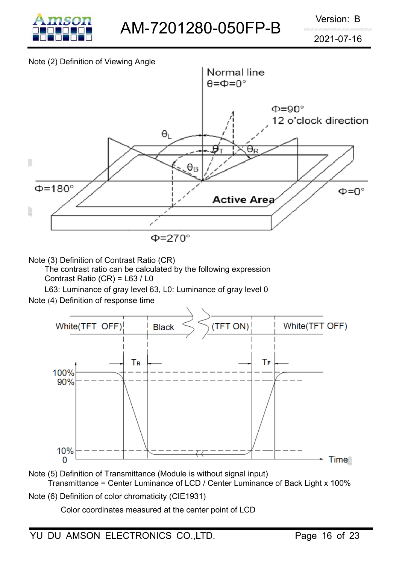

#### Note (2) Definition of Viewing Angle



Note (3) Definition of Contrast Ratio (CR)

The contrast ratio can be calculated by the following expression Contrast Ratio (CR) = L63 / L0

L63: Luminance of gray level 63, L0: Luminance of gray level 0

Note (4) Definition of response time



- Note (5) Definition of Transmittance (Module is without signal input) Transmittance = Center Luminance of LCD / Center Luminance of Back Light x 100%
- Note (6) Definition of color chromaticity (CIE1931)

Color coordinates measured at the center point of LCD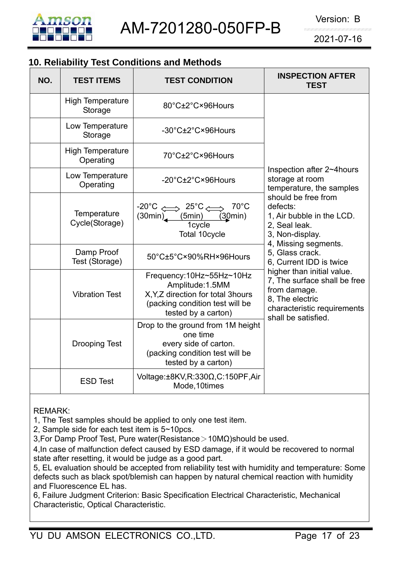

# **10. Reliability Test Conditions and Methods**

| NO. | <b>TEST ITEMS</b>                    | <b>TEST CONDITION</b>                                                                                                                        | <b>INSPECTION AFTER</b><br><b>TEST</b>                                                                                                              |
|-----|--------------------------------------|----------------------------------------------------------------------------------------------------------------------------------------------|-----------------------------------------------------------------------------------------------------------------------------------------------------|
|     | <b>High Temperature</b><br>Storage   | 80°C±2°C×96Hours                                                                                                                             |                                                                                                                                                     |
|     | Low Temperature<br>Storage           | -30°C±2°C×96Hours                                                                                                                            |                                                                                                                                                     |
|     | <b>High Temperature</b><br>Operating | 70°C±2°C×96Hours                                                                                                                             |                                                                                                                                                     |
|     | Low Temperature<br>Operating         | -20°C±2°C×96Hours                                                                                                                            | Inspection after 2~4hours<br>storage at room<br>temperature, the samples                                                                            |
|     | Temperature<br>Cycle(Storage)        | $70^{\circ}$ C<br>$-20^{\circ}C \iff 25^{\circ}C \iff$<br>(5min)<br>(30min)<br>(30min)<br>1cycle<br>Total 10cycle                            | should be free from<br>defects:<br>1, Air bubble in the LCD.<br>2, Seal leak.<br>3, Non-display.<br>4, Missing segments.                            |
|     | Damp Proof<br>Test (Storage)         | 50°C±5°C×90%RH×96Hours                                                                                                                       | 5, Glass crack.<br>6, Current IDD is twice                                                                                                          |
|     | <b>Vibration Test</b>                | Frequency:10Hz~55Hz~10Hz<br>Amplitude: 1.5MM<br>X, Y, Z direction for total 3hours<br>(packing condition test will be<br>tested by a carton) | higher than initial value.<br>7, The surface shall be free<br>from damage.<br>8. The electric<br>characteristic requirements<br>shall be satisfied. |
|     | <b>Drooping Test</b>                 | Drop to the ground from 1M height<br>one time<br>every side of carton.<br>(packing condition test will be<br>tested by a carton)             |                                                                                                                                                     |
|     | <b>ESD Test</b>                      | Voltage:±8KV,R:330Ω,C:150PF,Air<br>Mode, 10times                                                                                             |                                                                                                                                                     |

REMARK:

1, The Test samples should be applied to only one test item.

2, Sample side for each test item is 5~10pcs.

3,For Damp Proof Test, Pure water(Resistance>10MΩ)should be used.

4,In case of malfunction defect caused by ESD damage, if it would be recovered to normal state after resetting, it would be judge as a good part.

5, EL evaluation should be accepted from reliability test with humidity and temperature: Some defects such as black spot/blemish can happen by natural chemical reaction with humidity and Fluorescence EL has.

6, Failure Judgment Criterion: Basic Specification Electrical Characteristic, Mechanical Characteristic, Optical Characteristic.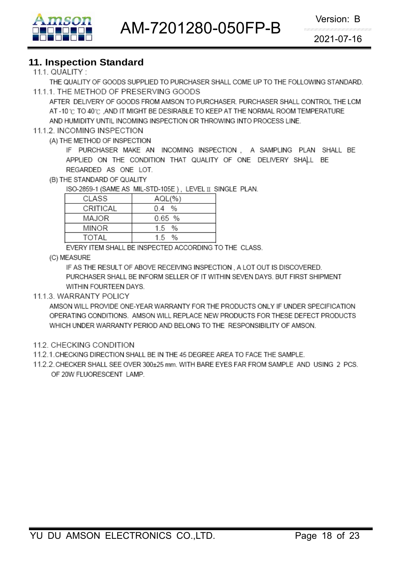

#### **11. Inspection Standard**

#### 111 QUALITY  $\cdot$

THE QUALITY OF GOODS SUPPLIED TO PURCHASER SHALL COME UP TO THE FOLLOWING STANDARD. 11.1.1. THE METHOD OF PRESERVING GOODS

AFTER DELIVERY OF GOODS FROM AMSON TO PURCHASER, PURCHASER SHALL CONTROL THE LCM AT -10 °C TO 40 °C. AND IT MIGHT BE DESIRABLE TO KEEP AT THE NORMAL ROOM TEMPERATURE AND HUMIDITY UNTIL INCOMING INSPECTION OR THROWING INTO PROCESS LINE.

#### 11.1.2. INCOMING INSPECTION

(A) THE METHOD OF INSPECTION

IF PURCHASER MAKE AN INCOMING INSPECTION, A SAMPLING PLAN SHALL BE APPLIED ON THE CONDITION THAT QUALITY OF ONE DELIVERY SHALL BE REGARDED AS ONE LOT.

(B) THE STANDARD OF QUALITY

ISO-2859-1 (SAME AS MIL-STD-105E), LEVEL II SINGLE PLAN.

| CLASS        | AQL(%     |
|--------------|-----------|
| CRITICAL     | 0.4 %     |
| MAJOR        | $0.65$ %  |
| <b>MINOR</b> | $1.5 \t%$ |
| TOTAL        | 15 %      |
|              |           |

EVERY ITEM SHALL BE INSPECTED ACCORDING TO THE CLASS.

(C) MEASURE

IF AS THE RESULT OF ABOVE RECEIVING INSPECTION, A LOT OUT IS DISCOVERED. PURCHASER SHALL BE INFORM SELLER OF IT WITHIN SEVEN DAYS. BUT FIRST SHIPMENT WITHIN FOURTEEN DAYS.

#### 11.1.3. WARRANTY POLICY

AMSON WILL PROVIDE ONE-YEAR WARRANTY FOR THE PRODUCTS ONLY IF UNDER SPECIFICATION OPERATING CONDITIONS. AMSON WILL REPLACE NEW PRODUCTS FOR THESE DEFECT PRODUCTS WHICH UNDER WARRANTY PERIOD AND BELONG TO THE RESPONSIBILITY OF AMSON.

#### 11.2. CHECKING CONDITION

- 11.2.1. CHECKING DIRECTION SHALL BE IN THE 45 DEGREE AREA TO FACE THE SAMPLE.
- 11.2.2. CHECKER SHALL SEE OVER 300±25 mm. WITH BARE EYES FAR FROM SAMPLE AND USING 2 PCS. OF 20W FLUORESCENT LAMP.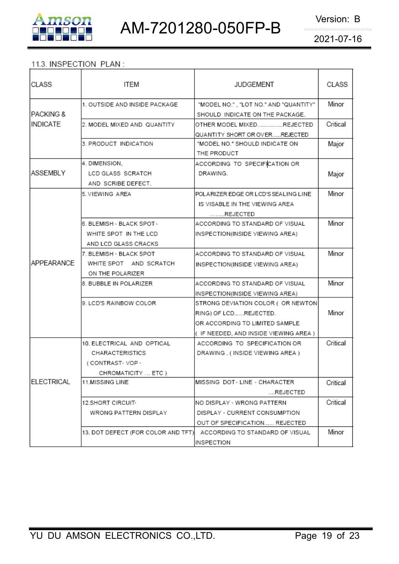

#### 11.3. INSPECTION PLAN:

| CLASS                | <b>ITEM</b>                        | <b>JUDGEMENT</b>                                                         | CLASS    |
|----------------------|------------------------------------|--------------------------------------------------------------------------|----------|
| <b>PACKING &amp;</b> | 1. OUTSIDE AND INSIDE PACKAGE      | "MODEL NO.", "LOT NO." AND "QUANTITY"<br>SHOULD INDICATE ON THE PACKAGE. | Minor    |
| <b>INDICATE</b>      | 2. MODEL MIXED AND QUANTITY        | OTHER MODEL MIXEDREJECTED                                                | Critical |
|                      |                                    | QUANTITY SHORT OR OVERREJECTED                                           |          |
|                      | 3. PRODUCT INDICATION              | "MODEL NO." SHOULD INDICATE ON                                           | Major    |
|                      |                                    | THE PRODUCT                                                              |          |
|                      | 4. DIMENSION.                      | ACCORDING TO SPECIFICATION OR                                            |          |
| <b>ASSEMBLY</b>      | LCD GLASS SCRATCH                  | DRAWING.                                                                 | Major    |
|                      | AND SCRIBE DEFECT.                 |                                                                          |          |
|                      | 5. VIEWING AREA                    | POLARIZER EDGE OR LCD'S SEALING LINE                                     | Minor    |
|                      |                                    | IS VISABLE IN THE VIEWING AREA                                           |          |
|                      |                                    | REJECTED                                                                 |          |
|                      | 6. BLEMISH - BLACK SPOT -          | ACCORDING TO STANDARD OF VISUAL                                          | Minor    |
|                      | WHITE SPOT IN THE LCD              | INSPECTION(INSIDE VIEWING AREA)                                          |          |
|                      | AND LCD GLASS CRACKS               |                                                                          |          |
|                      | 7. BLEMISH - BLACK SPOT            | ACCORDING TO STANDARD OF VISUAL                                          | Minor    |
| APPEARANCE           | WHITE SPOT AND SCRATCH             | INSPECTION(INSIDE VIEWING AREA)                                          |          |
|                      | ON THE POLARIZER                   |                                                                          |          |
|                      | 8. BUBBLE IN POLARIZER             | ACCORDING TO STANDARD OF VISUAL                                          | Minor    |
|                      |                                    | INSPECTION(INSIDE VIEWING AREA)                                          |          |
|                      | 9. LCD'S RAINBOW COLOR             | STRONG DEVIATION COLOR ( OR NEWTON                                       |          |
|                      |                                    | RING) OF LCDREJECTED.                                                    | Minor    |
|                      |                                    | OR ACCORDING TO LIMITED SAMPLE                                           |          |
|                      |                                    | (IF NEEDED, AND INSIDE VIEWING AREA )                                    |          |
|                      | 10. ELECTRICAL AND OPTICAL         | ACCORDING TO SPECIFICATION OR                                            | Critical |
|                      | CHARACTERISTICS                    | DRAWING . (INSIDE VIEWING AREA)                                          |          |
|                      | (CONTRAST-VOP-                     |                                                                          |          |
|                      | CHROMATICITY  ETC )                |                                                                          |          |
| ELECTRICAL           | <b>11.MISSING LINE</b>             | MISSING DOT LINE · CHARACTER                                             | Critical |
|                      |                                    | REJECTED                                                                 |          |
|                      | 12.SHORT CIRCUIT <sub>*</sub>      | NO DISPLAY - WRONG PATTERN                                               | Critical |
|                      | WRONG PATTERN DISPLAY              | DISPLAY · CURRENT CONSUMPTION                                            |          |
|                      |                                    | OUT OF SPECIFICATION REJECTED                                            |          |
|                      | 13. DOT DEFECT (FOR COLOR AND TFT) | ACCORDING TO STANDARD OF VISUAL                                          | Minor    |
|                      |                                    | INSPECTION                                                               |          |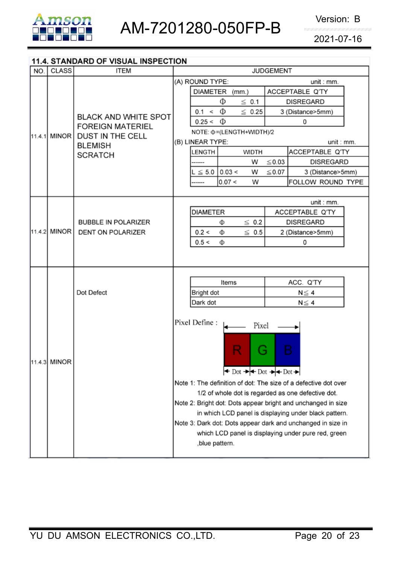

#### 11.4. STANDARD OF VISUAL INSPECTION

| NO. | <b>CLASS</b>            | <b>ITEM</b>                 | <b>JUDGEMENT</b>                                                                                                      |  |  |  |  |  |
|-----|-------------------------|-----------------------------|-----------------------------------------------------------------------------------------------------------------------|--|--|--|--|--|
|     |                         |                             | (A) ROUND TYPE:<br>unit : mm.                                                                                         |  |  |  |  |  |
|     |                         | <b>BLACK AND WHITE SPOT</b> | DIAMETER (mm.)<br>ACCEPTABLE Q'TY                                                                                     |  |  |  |  |  |
|     |                         |                             | Φ<br>$\leq 0.1$<br><b>DISREGARD</b>                                                                                   |  |  |  |  |  |
|     |                         |                             | Ф<br>$\leq 0.25$<br>0.1 <<br>3 (Distance>5mm)                                                                         |  |  |  |  |  |
|     | <b>FOREIGN MATERIEL</b> | $0.25 < \Phi$<br>0          |                                                                                                                       |  |  |  |  |  |
|     | 11.4.1 MINOR            | <b>DUST IN THE CELL</b>     | NOTE: Φ=(LENGTH+WIDTH)/2                                                                                              |  |  |  |  |  |
|     |                         | <b>BLEMISH</b>              | (B) LINEAR TYPE:<br>unit : mm.                                                                                        |  |  |  |  |  |
|     |                         | <b>SCRATCH</b>              | LENGTH<br><b>WIDTH</b><br>ACCEPTABLE Q'TY                                                                             |  |  |  |  |  |
|     |                         |                             | $\leq$ 0.03<br><b>DISREGARD</b><br>W                                                                                  |  |  |  |  |  |
|     |                         |                             | 0.03 <<br>$\leq 0.07$<br>$L \leq 5.0$<br>W<br>3 (Distance>5mm)                                                        |  |  |  |  |  |
|     |                         |                             | 0.07 <<br>FOLLOW ROUND TYPE<br>W<br>                                                                                  |  |  |  |  |  |
|     |                         |                             |                                                                                                                       |  |  |  |  |  |
|     |                         |                             | unit : mm.<br><b>DIAMETER</b><br>ACCEPTABLE Q'TY                                                                      |  |  |  |  |  |
|     |                         | <b>BUBBLE IN POLARIZER</b>  | $\leq 0.2$<br><b>DISREGARD</b><br>Φ                                                                                   |  |  |  |  |  |
|     | 11.4.2 MINOR            | DENT ON POLARIZER           | $\leq 0.5$<br>0.2 <<br>2 (Distance>5mm)<br>Φ                                                                          |  |  |  |  |  |
|     |                         |                             | 0.5 <<br>Ф<br>0                                                                                                       |  |  |  |  |  |
|     |                         |                             |                                                                                                                       |  |  |  |  |  |
|     |                         |                             |                                                                                                                       |  |  |  |  |  |
|     |                         |                             |                                                                                                                       |  |  |  |  |  |
|     |                         | Dot Defect                  | ACC. Q'TY<br>Items                                                                                                    |  |  |  |  |  |
|     |                         |                             | Bright dot<br>$N \leq 4$                                                                                              |  |  |  |  |  |
|     |                         |                             | Dark dot<br>$N \leq 4$                                                                                                |  |  |  |  |  |
|     |                         |                             |                                                                                                                       |  |  |  |  |  |
|     |                         |                             | Pixel Define :<br>Pixel                                                                                               |  |  |  |  |  |
|     |                         |                             |                                                                                                                       |  |  |  |  |  |
|     |                         |                             | R<br>B<br>$\blacklozenge$                                                                                             |  |  |  |  |  |
|     | 11.4.3 MINOR            |                             |                                                                                                                       |  |  |  |  |  |
|     |                         |                             | $\leftrightarrow$ Dot $\rightarrow$ $\leftrightarrow$ Dot $\rightarrow$ $\leftrightarrow$ Dot $\rightarrow$           |  |  |  |  |  |
|     |                         |                             |                                                                                                                       |  |  |  |  |  |
|     |                         |                             | Note 1: The definition of dot: The size of a defective dot over<br>1/2 of whole dot is regarded as one defective dot. |  |  |  |  |  |
|     |                         |                             | Note 2: Bright dot: Dots appear bright and unchanged in size                                                          |  |  |  |  |  |
|     |                         |                             | in which LCD panel is displaying under black pattern.                                                                 |  |  |  |  |  |
|     |                         |                             | Note 3: Dark dot: Dots appear dark and unchanged in size in                                                           |  |  |  |  |  |
|     |                         |                             | which LCD panel is displaying under pure red, green                                                                   |  |  |  |  |  |
|     |                         |                             | , blue pattern.                                                                                                       |  |  |  |  |  |
|     |                         |                             |                                                                                                                       |  |  |  |  |  |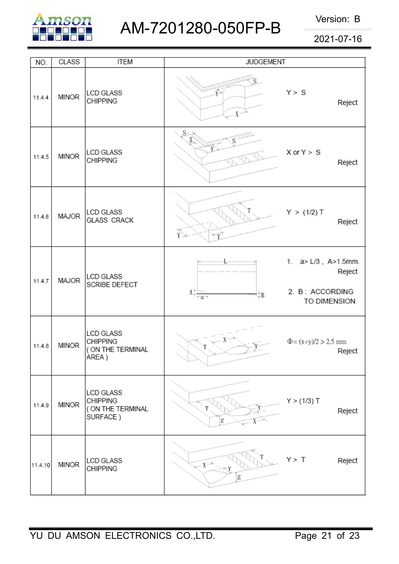

| NO.     | <b>CLASS</b> | <b>ITEM</b>                                                       | <b>JUDGEMENT</b>                                                                                  |                                                                  |
|---------|--------------|-------------------------------------------------------------------|---------------------------------------------------------------------------------------------------|------------------------------------------------------------------|
| 11.4.4  | <b>MINOR</b> | <b>LCD GLASS</b><br><b>CHIPPING</b>                               | $X^{\sim}$                                                                                        | Y > S<br>Reject                                                  |
| 11.4.5  | <b>MINOR</b> | <b>LCD GLASS</b><br><b>CHIPPING</b>                               | S×                                                                                                | $X$ or $Y > S$<br>Reject                                         |
| 11.4.6  | MAJOR        | LCD GLASS<br><b>GLASS CRACK</b>                                   | Ŷ≥                                                                                                | Y > (1/2) T<br>Reject                                            |
| 11.4.7  | MAJOR        | <b>LCD GLASS</b><br>SCRIBE DEFECT                                 | $\Lambda^{\frac{\kappa}{\gamma}}_{\overline{\gamma} \; \mathbf{r}-\mathbf{g} \rightarrow}$<br>±‡B | 1. a> L/3, A>1.5mm.<br>Reject<br>2. B: ACCORDING<br>TO DIMENSION |
| 11.4.8  | <b>MINOR</b> | <b>LCD GLASS</b><br><b>CHIPPING</b><br>( ON THE TERMINAL<br>AREA) |                                                                                                   | $\Phi = (x+y)/2 > 2.5$ mm<br>Reject                              |
| 11.4.9  | <b>MINOR</b> | LCD GLASS<br><b>CHIPPING</b><br>( ON THE TERMINAL<br>SURFACE)     | Z                                                                                                 | Y > (1/3) T<br>Reject                                            |
| 11.4.10 | <b>MINOR</b> | LCD GLASS<br><b>CHIPPING</b>                                      | $X \rightarrow$<br>Z                                                                              | Y > T<br>Reject                                                  |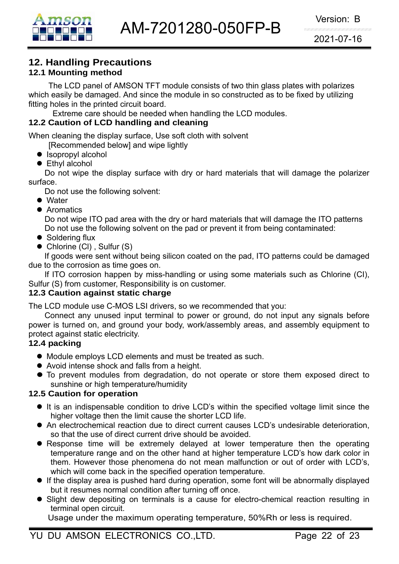

# **12. Handling Precautions**

## **12.1 Mounting method**

The LCD panel of AMSON TFT module consists of two thin glass plates with polarizes which easily be damaged. And since the module in so constructed as to be fixed by utilizing fitting holes in the printed circuit board.

Extreme care should be needed when handling the LCD modules.

#### **12.2 Caution of LCD handling and cleaning**

When cleaning the display surface, Use soft cloth with solvent

[Recommended below] and wipe lightly

- $\bullet$  Isopropyl alcohol
- $\bullet$  Ethyl alcohol

 Do not wipe the display surface with dry or hard materials that will damage the polarizer surface.

Do not use the following solvent:

- Water
- **Aromatics**

 Do not wipe ITO pad area with the dry or hard materials that will damage the ITO patterns Do not use the following solvent on the pad or prevent it from being contaminated:

- $\bullet$  Soldering flux
- $\bullet$  Chlorine (CI), Sulfur (S)

If goods were sent without being silicon coated on the pad, ITO patterns could be damaged due to the corrosion as time goes on.

If ITO corrosion happen by miss-handling or using some materials such as Chlorine (CI), Sulfur (S) from customer, Responsibility is on customer.

#### **12.3 Caution against static charge**

The LCD module use C-MOS LSI drivers, so we recommended that you:

Connect any unused input terminal to power or ground, do not input any signals before power is turned on, and ground your body, work/assembly areas, and assembly equipment to protect against static electricity.

#### **12.4 packing**

- Module employs LCD elements and must be treated as such.
- Avoid intense shock and falls from a height.
- $\bullet$  To prevent modules from degradation, do not operate or store them exposed direct to sunshine or high temperature/humidity

#### **12.5 Caution for operation**

- It is an indispensable condition to drive LCD's within the specified voltage limit since the higher voltage then the limit cause the shorter LCD life.
- An electrochemical reaction due to direct current causes LCD's undesirable deterioration, so that the use of direct current drive should be avoided.
- Response time will be extremely delayed at lower temperature then the operating temperature range and on the other hand at higher temperature LCD's how dark color in them. However those phenomena do not mean malfunction or out of order with LCD's, which will come back in the specified operation temperature.
- If the display area is pushed hard during operation, some font will be abnormally displayed but it resumes normal condition after turning off once.
- Slight dew depositing on terminals is a cause for electro-chemical reaction resulting in terminal open circuit.

Usage under the maximum operating temperature, 50%Rh or less is required.